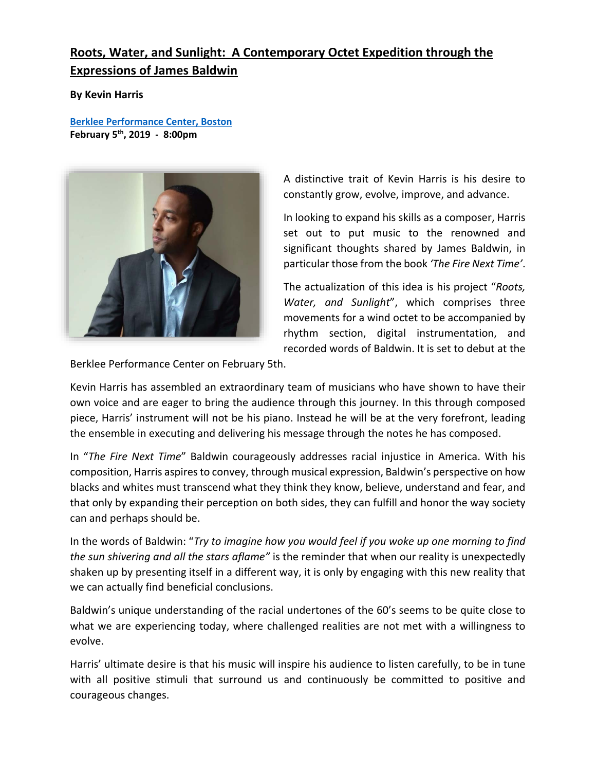# **Roots, Water, and Sunlight: A Contemporary Octet Expedition through the Expressions of James Baldwin**

**By Kevin Harris** 

**[Berklee Performance Center, Boston](https://www.berklee.edu/events/kevin-harris-project-presents-roots-water-and-sunlight%E2%80%A6-contemporary-octet-expedition?ss=204996) February 5th, 2019 - 8:00pm**



A distinctive trait of Kevin Harris is his desire to constantly grow, evolve, improve, and advance.

In looking to expand his skills as a composer, Harris set out to put music to the renowned and significant thoughts shared by James Baldwin, in particular those from the book *'The Fire Next Time'*.

The actualization of this idea is his project "*Roots, Water, and Sunlight*", which comprises three movements for a wind octet to be accompanied by rhythm section, digital instrumentation, and recorded words of Baldwin. It is set to debut at the

Berklee Performance Center on February 5th.

Kevin Harris has assembled an extraordinary team of musicians who have shown to have their own voice and are eager to bring the audience through this journey. In this through composed piece, Harris' instrument will not be his piano. Instead he will be at the very forefront, leading the ensemble in executing and delivering his message through the notes he has composed.

In "*The Fire Next Time*" Baldwin courageously addresses racial injustice in America. With his composition, Harris aspires to convey, through musical expression, Baldwin's perspective on how blacks and whites must transcend what they think they know, believe, understand and fear, and that only by expanding their perception on both sides, they can fulfill and honor the way society can and perhaps should be.

In the words of Baldwin: "*Try to imagine how you would feel if you woke up one morning to find the sun shivering and all the stars aflame"* is the reminder that when our reality is unexpectedly shaken up by presenting itself in a different way, it is only by engaging with this new reality that we can actually find beneficial conclusions.

Baldwin's unique understanding of the racial undertones of the 60's seems to be quite close to what we are experiencing today, where challenged realities are not met with a willingness to evolve.

Harris' ultimate desire is that his music will inspire his audience to listen carefully, to be in tune with all positive stimuli that surround us and continuously be committed to positive and courageous changes.